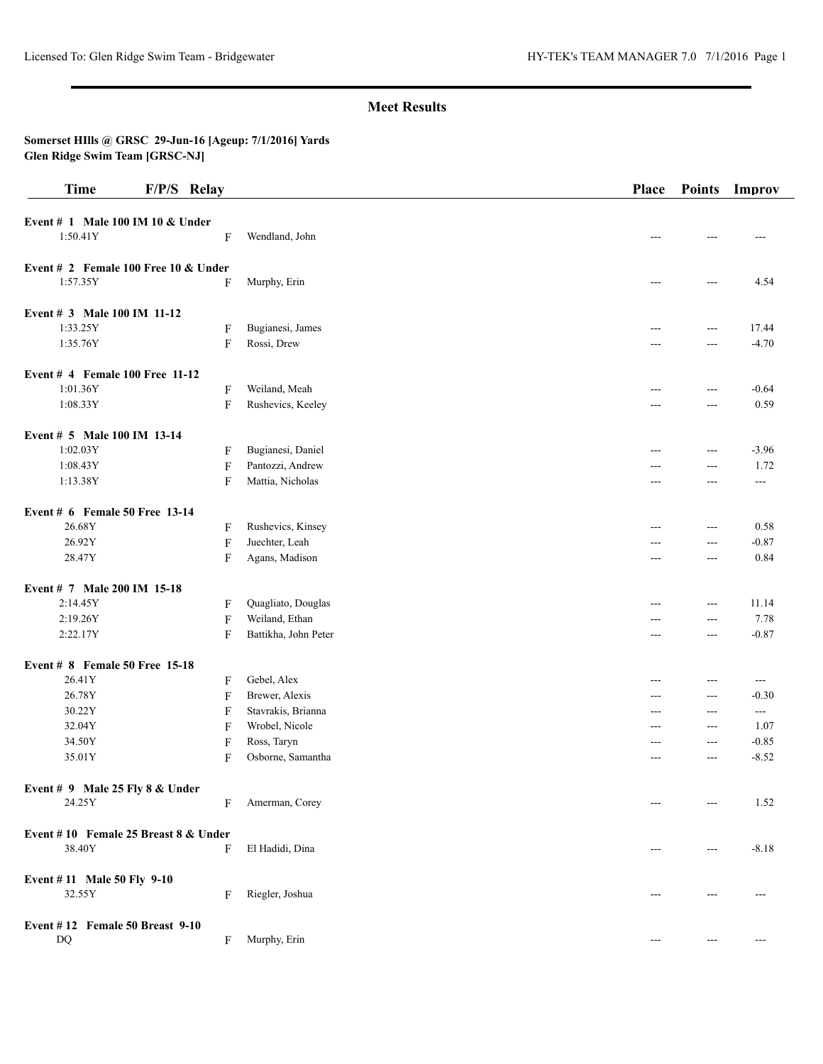# **Meet Results**

#### **Somerset HIlls @ GRSC 29-Jun-16 [Ageup: 7/1/2016] Yards Glen Ridge Swim Team [GRSC-NJ]**

| <b>Time</b>                            | F/P/S Relay               |                      | Place | <b>Points</b>     | Improv               |
|----------------------------------------|---------------------------|----------------------|-------|-------------------|----------------------|
| Event # 1 Male 100 IM 10 & Under       |                           |                      |       |                   |                      |
| 1:50.41Y                               | F                         | Wendland, John       | ---   | ---               | ---                  |
| Event # 2 Female 100 Free 10 $&$ Under |                           |                      |       |                   |                      |
| 1:57.35Y                               | F                         | Murphy, Erin         | $---$ | $---$             | 4.54                 |
| Event # 3 Male 100 IM 11-12            |                           |                      |       |                   |                      |
| 1:33.25Y                               | F                         | Bugianesi, James     | ---   | $\overline{a}$    | 17.44                |
| 1:35.76Y                               | $\mathbf F$               | Rossi, Drew          |       | $\overline{a}$    | $-4.70$              |
| Event # 4 Female 100 Free 11-12        |                           |                      |       |                   |                      |
| 1:01.36Y                               | $\boldsymbol{\mathrm{F}}$ | Weiland, Meah        | $---$ | $\sim$ $\sim$     | $-0.64$              |
| 1:08.33Y                               | $\boldsymbol{\mathrm{F}}$ | Rushevics, Keeley    | ---   | ---               | 0.59                 |
| Event # 5 Male 100 IM 13-14            |                           |                      |       |                   |                      |
| 1:02.03Y                               | F                         | Bugianesi, Daniel    |       | $---$             | $-3.96$              |
| 1:08.43Y                               | $\mathbf F$               | Pantozzi, Andrew     | ---   | $\overline{a}$    | 1.72                 |
| 1:13.38Y                               | F                         | Mattia, Nicholas     | $---$ | $---$             | $---$                |
| Event # $6$ Female 50 Free 13-14       |                           |                      |       |                   |                      |
| 26.68Y                                 | F                         | Rushevics, Kinsey    | ---   | ---               | 0.58                 |
| 26.92Y                                 | $\mathbf{F}$              | Juechter, Leah       | ---   | $---$             | $-0.87$              |
| 28.47Y                                 | F                         | Agans, Madison       | $---$ | $\overline{a}$    | 0.84                 |
| Event # 7 Male 200 IM 15-18            |                           |                      |       |                   |                      |
| 2:14.45Y                               | F                         | Quagliato, Douglas   |       | $---$             | 11.14                |
| 2:19.26Y                               |                           | Weiland, Ethan       |       | $\overline{a}$    | 7.78                 |
|                                        | $\mathbf F$               |                      | ---   |                   |                      |
| 2:22.17Y                               | F                         | Battikha, John Peter | $---$ | $\overline{a}$    | $-0.87$              |
| Event # 8 Female 50 Free 15-18         |                           |                      |       |                   |                      |
| 26.41Y                                 | F                         | Gebel, Alex          | ---   | $\cdots$          | $---$                |
| 26.78Y                                 | $\mathbf F$               | Brewer, Alexis       | $---$ | $---$             | $-0.30$              |
| 30.22Y                                 | F                         | Stavrakis, Brianna   | $---$ | $\overline{a}$    | $\scriptstyle\cdots$ |
| 32.04Y                                 | F                         | Wrobel, Nicole       | ---   | $\overline{a}$    | 1.07                 |
| 34.50Y                                 | $\mathbf{F}$              | Ross, Taryn          | $---$ | $  -$             | $-0.85$              |
| 35.01Y                                 | F                         | Osborne, Samantha    | ---   | $\overline{a}$    | $-8.52$              |
| Event # 9 Male 25 Fly $8 &$ Under      |                           |                      |       |                   |                      |
| 24.25Y                                 | F                         | Amerman, Corey       |       | $---$             | 1.52                 |
| Event #10 Female 25 Breast 8 & Under   |                           |                      |       |                   |                      |
| 38.40Y                                 | F                         | El Hadidi, Dina      | $---$ | $\cdots$          | $-8.18$              |
| Event #11 Male 50 Fly 9-10             |                           |                      |       |                   |                      |
| 32.55Y                                 | F                         | Riegler, Joshua      |       | ---               |                      |
| Event $# 12$ Female 50 Breast 9-10     |                           |                      |       |                   |                      |
| DQ                                     | F                         | Murphy, Erin         | $---$ | $\qquad \qquad -$ | $---$                |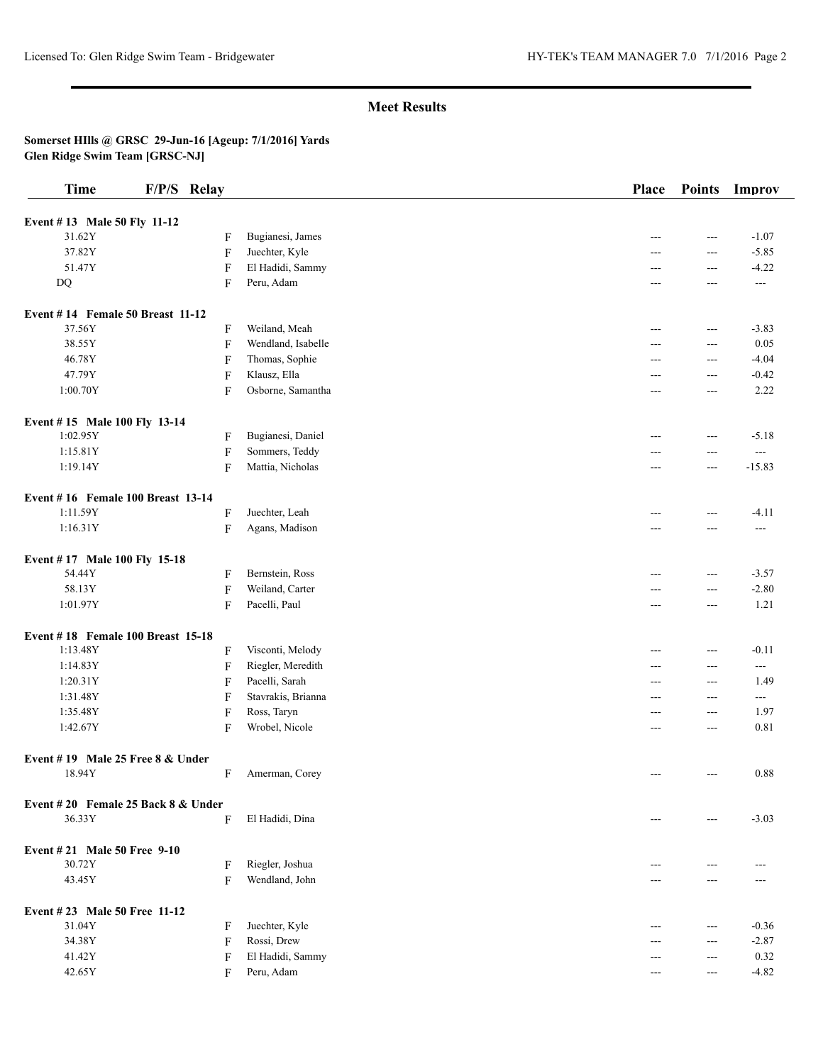### **Meet Results**

#### **Somerset HIlls @ GRSC 29-Jun-16 [Ageup: 7/1/2016] Yards Glen Ridge Swim Team [GRSC-NJ]**

| <b>Time</b>                        | F/P/S Relay               |                    | Place | <b>Points</b>  | Improv                |
|------------------------------------|---------------------------|--------------------|-------|----------------|-----------------------|
| Event #13 Male 50 Fly 11-12        |                           |                    |       |                |                       |
| 31.62Y                             | F                         | Bugianesi, James   | ---   | $\overline{a}$ | $-1.07$               |
| 37.82Y                             | $\boldsymbol{\mathrm{F}}$ | Juechter, Kyle     |       | ---            | $-5.85$               |
| 51.47Y                             | F                         | El Hadidi, Sammy   | ---   | ---            | $-4.22$               |
| DQ                                 | F                         | Peru, Adam         | ---   | $---$          | $---$                 |
|                                    |                           |                    |       |                |                       |
| Event #14 Female 50 Breast 11-12   |                           |                    |       |                |                       |
| 37.56Y                             | F                         | Weiland, Meah      | ---   | $---$          | $-3.83$               |
| 38.55Y                             | $\boldsymbol{\mathrm{F}}$ | Wendland, Isabelle | ---   | $---$          | 0.05                  |
| 46.78Y                             | F                         | Thomas, Sophie     | ---   | $---$          | $-4.04$               |
| 47.79Y                             | F                         | Klausz, Ella       | ---   | ---            | $-0.42$               |
| 1:00.70Y                           | F                         | Osborne, Samantha  | ---   | ---            | 2.22                  |
| Event #15 Male 100 Fly 13-14       |                           |                    |       |                |                       |
| 1:02.95Y                           | F                         | Bugianesi, Daniel  | ---   | $---$          | $-5.18$               |
| 1:15.81Y                           | F                         | Sommers, Teddy     |       | $---$          | $---$                 |
| 1:19.14Y                           | $\boldsymbol{\mathrm{F}}$ | Mattia, Nicholas   | ---   | $---$          | $-15.83$              |
|                                    |                           |                    |       |                |                       |
| Event #16 Female 100 Breast 13-14  |                           |                    |       |                |                       |
| 1:11.59Y                           | F                         | Juechter, Leah     | ---   | $---$          | $-4.11$               |
| 1:16.31Y                           | $\boldsymbol{\mathrm{F}}$ | Agans, Madison     | ---   | ---            | $\scriptstyle \cdots$ |
| Event #17 Male 100 Fly 15-18       |                           |                    |       |                |                       |
| 54.44Y                             | F                         | Bernstein, Ross    | ---   | $---$          | $-3.57$               |
| 58.13Y                             | F                         | Weiland, Carter    | ---   | ---            | $-2.80$               |
| 1:01.97Y                           | F                         | Pacelli, Paul      | ---   | $---$          | 1.21                  |
| Event #18 Female 100 Breast 15-18  |                           |                    |       |                |                       |
| 1:13.48Y                           | F                         | Visconti, Melody   | ---   | $---$          | $-0.11$               |
| 1:14.83Y                           | $\boldsymbol{\mathrm{F}}$ | Riegler, Meredith  | ---   | $---$          | $\scriptstyle\cdots$  |
| 1:20.31Y                           | $\mathbf F$               | Pacelli, Sarah     | ---   | $---$          | 1.49                  |
| 1:31.48Y                           | F                         | Stavrakis, Brianna | ---   | ---            | $\cdots$              |
| 1:35.48Y                           | $\mathbf F$               | Ross, Taryn        | ---   | $\overline{a}$ | 1.97                  |
| 1:42.67Y                           | F                         | Wrobel, Nicole     | ---   | $---$          | 0.81                  |
| Event #19 Male 25 Free 8 & Under   |                           |                    |       |                |                       |
| 18.94Y                             | F                         | Amerman, Corey     | ---   | $---$          | 0.88                  |
| Event #20 Female 25 Back 8 & Under |                           |                    |       |                |                       |
| 36.33Y                             | F                         | El Hadidi, Dina    | ---   | $---$          | $-3.03$               |
|                                    |                           |                    |       |                |                       |
| <b>Event #21 Male 50 Free 9-10</b> |                           |                    |       |                |                       |
| 30.72Y                             | F                         | Riegler, Joshua    |       | ---            | ---                   |
| 43.45Y                             | F                         | Wendland, John     |       | ---            |                       |
| Event # 23 Male 50 Free 11-12      |                           |                    |       |                |                       |
| 31.04Y                             | F                         | Juechter, Kyle     | ---   | ---            | $-0.36$               |
| 34.38Y                             | F                         | Rossi, Drew        |       | $---$          | $-2.87$               |
| 41.42Y                             | F                         | El Hadidi, Sammy   |       | $---$          | 0.32                  |
| 42.65Y                             | F                         | Peru, Adam         | ---   | $---$          | $-4.82$               |